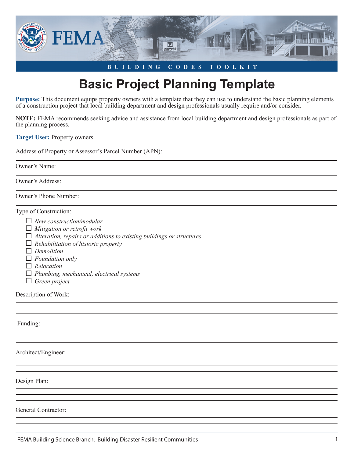

## **BUILDING CODES TOOLKIT**

## **Basic Project Planning Template**

**Purpose:** This document equips property owners with a template that they can use to understand the basic planning elements of a construction project that local building department and design professionals usually require and/or consider.

**NOTE:** FEMA recommends seeking advice and assistance from local building department and design professionals as part of the planning process.

**Target User:** Property owners.

Address of Property or Assessor's Parcel Number (APN):

Owner's Name:

Owner's Address:

Owner's Phone Number:

Type of Construction:

- *New construction/modular*
- *Mitigation or retroit work*
- *Alteration, repairs or additions to existing buildings or structures*
- *Rehabilitation of historic property*
- *Demolition*
- *Foundation only*
- *Relocation*
- *Plumbing, mechanical, electrical systems*
- *Green project*

Description of Work:

Funding:

Architect/Engineer:

Design Plan:

General Contractor:

FEMA Building Science Branch: Building Disaster Resilient Communities